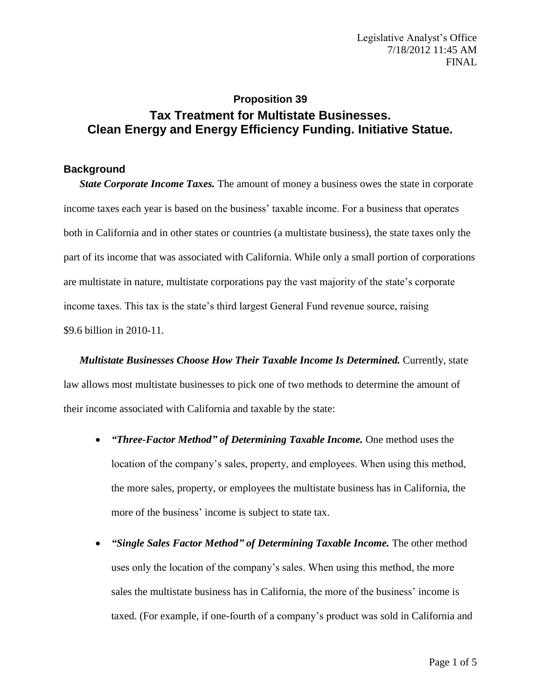# **Proposition 39 Tax Treatment for Multistate Businesses. Clean Energy and Energy Efficiency Funding. Initiative Statue.**

## **Background**

*State Corporate Income Taxes.* The amount of money a business owes the state in corporate income taxes each year is based on the business' taxable income. For a business that operates both in California and in other states or countries (a multistate business), the state taxes only the part of its income that was associated with California. While only a small portion of corporations are multistate in nature, multistate corporations pay the vast majority of the state's corporate income taxes. This tax is the state's third largest General Fund revenue source, raising \$9.6 billion in 2010-11.

*Multistate Businesses Choose How Their Taxable Income Is Determined.* Currently, state law allows most multistate businesses to pick one of two methods to determine the amount of their income associated with California and taxable by the state:

- *"Three-Factor Method" of Determining Taxable Income.* One method uses the location of the company's sales, property, and employees. When using this method, the more sales, property, or employees the multistate business has in California, the more of the business' income is subject to state tax.
- *"Single Sales Factor Method" of Determining Taxable Income.* The other method uses only the location of the company's sales. When using this method, the more sales the multistate business has in California, the more of the business' income is taxed. (For example, if one-fourth of a company's product was sold in California and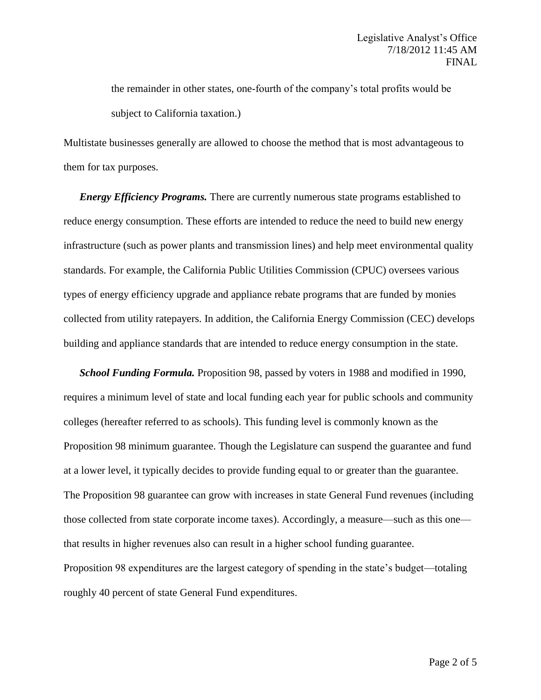the remainder in other states, one-fourth of the company's total profits would be subject to California taxation.)

Multistate businesses generally are allowed to choose the method that is most advantageous to them for tax purposes.

*Energy Efficiency Programs.* There are currently numerous state programs established to reduce energy consumption. These efforts are intended to reduce the need to build new energy infrastructure (such as power plants and transmission lines) and help meet environmental quality standards. For example, the California Public Utilities Commission (CPUC) oversees various types of energy efficiency upgrade and appliance rebate programs that are funded by monies collected from utility ratepayers. In addition, the California Energy Commission (CEC) develops building and appliance standards that are intended to reduce energy consumption in the state.

*School Funding Formula.* Proposition 98, passed by voters in 1988 and modified in 1990, requires a minimum level of state and local funding each year for public schools and community colleges (hereafter referred to as schools). This funding level is commonly known as the Proposition 98 minimum guarantee. Though the Legislature can suspend the guarantee and fund at a lower level, it typically decides to provide funding equal to or greater than the guarantee. The Proposition 98 guarantee can grow with increases in state General Fund revenues (including those collected from state corporate income taxes). Accordingly, a measure—such as this one that results in higher revenues also can result in a higher school funding guarantee. Proposition 98 expenditures are the largest category of spending in the state's budget—totaling roughly 40 percent of state General Fund expenditures.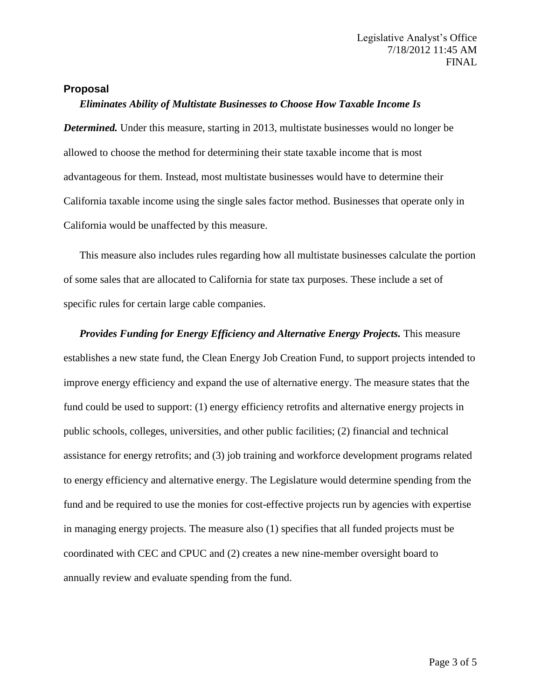#### **Proposal**

### *Eliminates Ability of Multistate Businesses to Choose How Taxable Income Is*

*Determined.* Under this measure, starting in 2013, multistate businesses would no longer be allowed to choose the method for determining their state taxable income that is most advantageous for them. Instead, most multistate businesses would have to determine their California taxable income using the single sales factor method. Businesses that operate only in California would be unaffected by this measure.

This measure also includes rules regarding how all multistate businesses calculate the portion of some sales that are allocated to California for state tax purposes. These include a set of specific rules for certain large cable companies.

*Provides Funding for Energy Efficiency and Alternative Energy Projects.* This measure establishes a new state fund, the Clean Energy Job Creation Fund, to support projects intended to improve energy efficiency and expand the use of alternative energy. The measure states that the fund could be used to support: (1) energy efficiency retrofits and alternative energy projects in public schools, colleges, universities, and other public facilities; (2) financial and technical assistance for energy retrofits; and (3) job training and workforce development programs related to energy efficiency and alternative energy. The Legislature would determine spending from the fund and be required to use the monies for cost-effective projects run by agencies with expertise in managing energy projects. The measure also (1) specifies that all funded projects must be coordinated with CEC and CPUC and (2) creates a new nine-member oversight board to annually review and evaluate spending from the fund.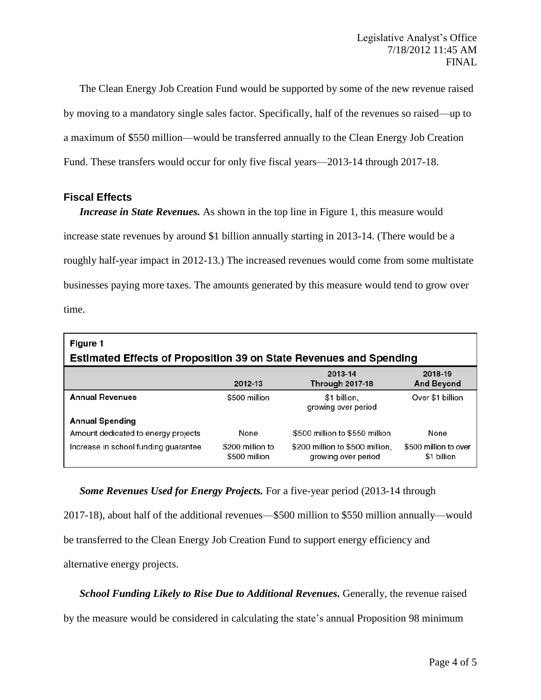The Clean Energy Job Creation Fund would be supported by some of the new revenue raised by moving to a mandatory single sales factor. Specifically, half of the revenues so raised—up to a maximum of \$550 million—would be transferred annually to the Clean Energy Job Creation Fund. These transfers would occur for only five fiscal years—2013-14 through 2017-18.

## **Fiscal Effects**

*Increase in State Revenues.* As shown in the top line in Figure 1, this measure would increase state revenues by around \$1 billion annually starting in 2013-14. (There would be a roughly half-year impact in 2012-13.) The increased revenues would come from some multistate businesses paying more taxes. The amounts generated by this measure would tend to grow over time.

| Figure 1<br><b>Estimated Effects of Proposition 39 on State Revenues and Spending</b> |                                   |                                                        |                                      |
|---------------------------------------------------------------------------------------|-----------------------------------|--------------------------------------------------------|--------------------------------------|
|                                                                                       | 2012-13                           | 2013-14<br><b>Through 2017-18</b>                      | 2018-19<br><b>And Beyond</b>         |
| <b>Annual Revenues</b>                                                                | \$500 million                     | \$1 billion,<br>growing over period                    | Over \$1 billion                     |
| <b>Annual Spending</b>                                                                |                                   |                                                        |                                      |
| Amount dedicated to energy projects                                                   | None                              | \$500 million to \$550 million                         | None                                 |
| Increase in school funding guarantee                                                  | \$200 million to<br>\$500 million | \$200 million to \$500 million.<br>growing over period | \$500 million to over<br>\$1 billion |

*Some Revenues Used for Energy Projects.* For a five-year period (2013-14 through 2017-18), about half of the additional revenues—\$500 million to \$550 million annually—would be transferred to the Clean Energy Job Creation Fund to support energy efficiency and alternative energy projects.

**School Funding Likely to Rise Due to Additional Revenues.** Generally, the revenue raised

by the measure would be considered in calculating the state's annual Proposition 98 minimum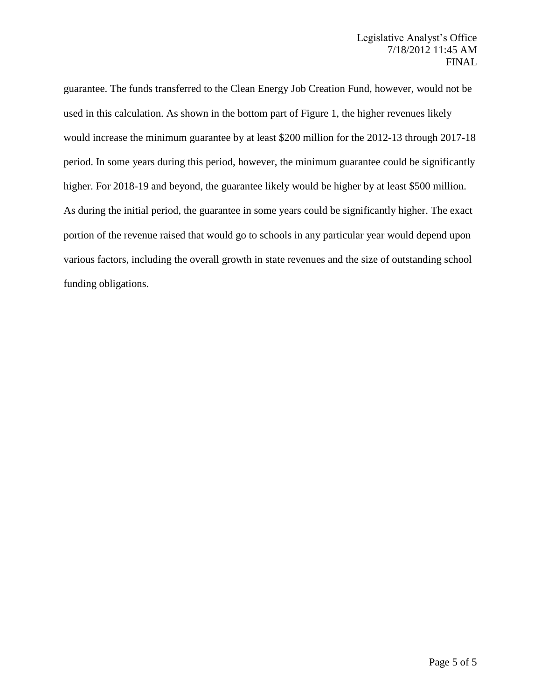guarantee. The funds transferred to the Clean Energy Job Creation Fund, however, would not be used in this calculation. As shown in the bottom part of Figure 1, the higher revenues likely would increase the minimum guarantee by at least \$200 million for the 2012-13 through 2017-18 period. In some years during this period, however, the minimum guarantee could be significantly higher. For 2018-19 and beyond, the guarantee likely would be higher by at least \$500 million. As during the initial period, the guarantee in some years could be significantly higher. The exact portion of the revenue raised that would go to schools in any particular year would depend upon various factors, including the overall growth in state revenues and the size of outstanding school funding obligations.